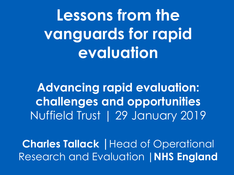**Lessons from the vanguards for rapid evaluation**

**Advancing rapid evaluation: challenges and opportunities**  Nuffield Trust | 29 January 2019

**Charles Tallack |**Head of Operational Research and Evaluation **|NHS England**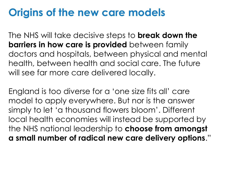# **Origins of the new care models**

The NHS will take decisive steps to **break down the barriers in how care is provided** between family doctors and hospitals, between physical and mental health, between health and social care. The future will see far more care delivered locally.

England is too diverse for a 'one size fits all' care model to apply everywhere. But nor is the answer simply to let 'a thousand flowers bloom'. Different local health economies will instead be supported by the NHS national leadership to **choose from amongst a small number of radical new care delivery options**."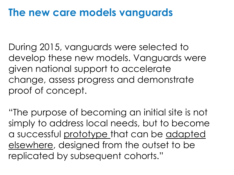# **The new care models vanguards**

During 2015, vanguards were selected to develop these new models. Vanguards were given national support to accelerate change, assess progress and demonstrate proof of concept.

"The purpose of becoming an initial site is not simply to address local needs, but to become a successful prototype that can be adapted elsewhere, designed from the outset to be replicated by subsequent cohorts."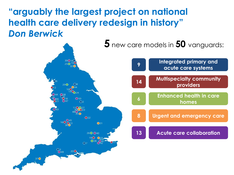**"arguably the largest project on national health care delivery redesign in history"**  *Don Berwick*

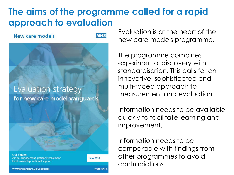## **The aims of the programme called for a rapid approach to evaluation**

#### New care models

**NHS** 

### Evaluation strategy for new care model vanguards

**Our values:** clinical engagement, patient involvement, local ownership, national support

**May 2016** 

#futureNHS

Evaluation is at the heart of the new care models programme.

The programme combines experimental discovery with standardisation. This calls for an innovative, sophisticated and multi-faced approach to measurement and evaluation.

Information needs to be available quickly to facilitate learning and improvement.

Information needs to be comparable with findings from other programmes to avoid contradictions.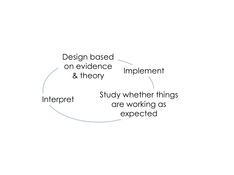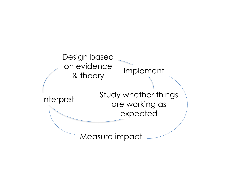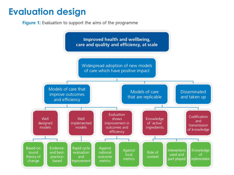## **Evaluation design**

**Figure 1:** Evaluation to support the aims of the programme

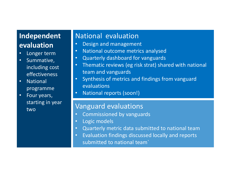## **Independent evaluation**

- Longer term
- Summative, including cost effectiveness
- National programme
- Four years, starting in year two

#### National evaluation

- Design and management
- National outcome metrics analysed
- Quarterly dashboard for vanguards
- Thematic reviews (eg risk strat) shared with national team and vanguards
- Synthesis of metrics and findings from vanguard evaluations
- National reports (soon!)

#### Vanguard evaluations

- Commissioned by vanguards
- Logic models
- Quarterly metric data submitted to national team
- Evaluation findings discussed locally and reports submitted to national team`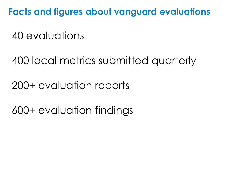**Facts and figures about vanguard evaluations**

40 evaluations

400 local metrics submitted quarterly

200+ evaluation reports

600+ evaluation findings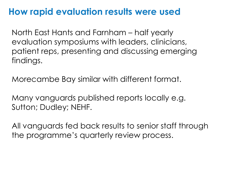## **How rapid evaluation results were used**

North East Hants and Farnham – half yearly evaluation symposiums with leaders, clinicians, patient reps, presenting and discussing emerging findings.

Morecambe Bay similar with different format.

Many vanguards published reports locally e.g. Sutton; Dudley; NEHF.

All vanguards fed back results to senior staff through the programme's quarterly review process.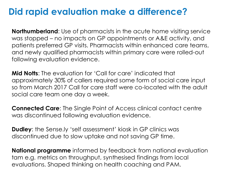## **Did rapid evaluation make a difference?**

**Northumberland**: Use of pharmacists in the acute home visiting service was stopped – no impacts on GP appointments or A&E activity, and patients preferred GP visits. Pharmacists within enhanced care teams, and newly qualified pharmacists within primary care were rolled-out following evaluation evidence.

**Mid Notts**: The evaluation for 'Call for care' indicated that approximately 30% of callers required some form of social care input so from March 2017 Call for care staff were co-located with the adult social care team one day a week.

**Connected Care**: The Single Point of Access clinical contact centre was discontinued following evaluation evidence.

**Dudley**: the Sense.ly 'self assessment' kiosk in GP clinics was discontinued due to slow uptake and not saving GP time.

**National programme** informed by feedback from national evaluation tam e.g. metrics on throughput, synthesised findings from local evaluations. Shaped thinking on health coaching and PAM.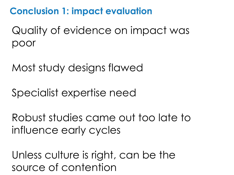**Conclusion 1: impact evaluation**

Quality of evidence on impact was poor

Most study designs flawed

Specialist expertise need

Robust studies came out too late to influence early cycles

Unless culture is right, can be the source of contention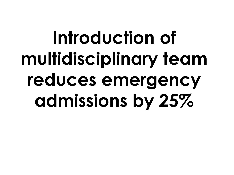# **Introduction of multidisciplinary team reduces emergency admissions by 25%**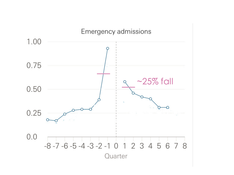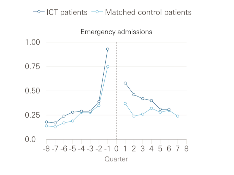## $\sim$  ICT patients  $\sim$  Matched control patients

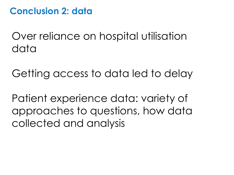## **Conclusion 2: data**

Over reliance on hospital utilisation data

Getting access to data led to delay

Patient experience data: variety of approaches to questions, how data collected and analysis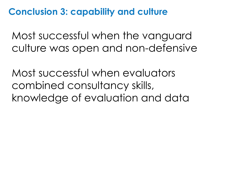**Conclusion 3: capability and culture**

Most successful when the vanguard culture was open and non-defensive

Most successful when evaluators combined consultancy skills, knowledge of evaluation and data